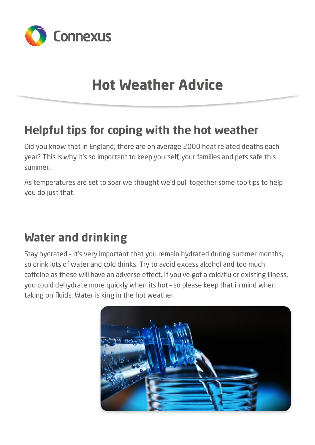

# **Hot Weather Advice**

#### **Helpful tips for coping with the hot weather**

Did you know that in England, there are on average 2000 heat related deaths each year? This is why it's so important to keep yourself, your families and pets safe this summer.

As temperatures are set to soar we thought we'd pull together some top tips to help you do just that.

## **Water and drinking**

Stay hydrated – It's very important that you remain hydrated during summer months, so drink lots of water and cold drinks. Try to avoid excess alcohol and too much caffeine as these will have an adverse effect. If you've got a cold/flu or existing illness, you could dehydrate more quickly when its hot – so please keep that in mind when taking on fluids. Water is king in the hot weather.

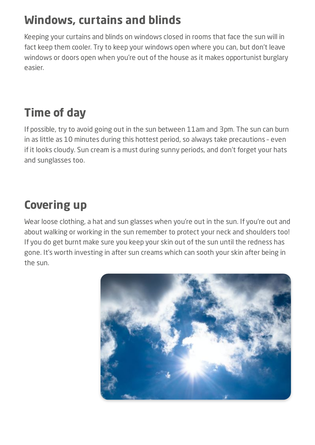# **Windows, curtains and blinds**

Keeping your curtains and blinds on windows closed in rooms that face the sun will in fact keep them cooler. Try to keep your windows open where you can, but don't leave windows or doors open when you're out of the house as it makes opportunist burglary easier.

# **Time of day**

If possible, try to avoid going out in the sun between 11am and 3pm. The sun can burn in as little as 10 minutes during this hottest period, so always take precautions – even if it looks cloudy. Sun cream is a must during sunny periods, and don't forget your hats and sunglasses too.

# **Covering up**

Wear loose clothing, a hat and sun glasses when you're out in the sun. If you're out and about walking or working in the sun remember to protect your neck and shoulders too! If you do get burnt make sure you keep your skin out of the sun until the redness has gone. It's worth investing in after sun creams which can sooth your skin after being in the sun.

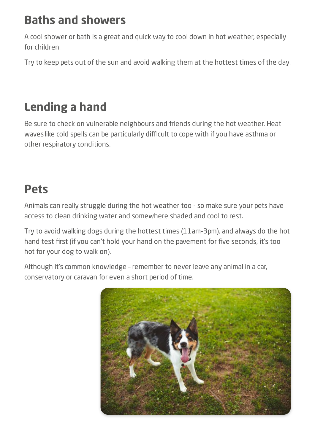## **Baths and showers**

A cool shower or bath is a great and quick way to cool down in hot weather, especially for children.

Try to keep pets out of the sun and avoid walking them at the hottest times of the day.

## **Lending a hand**

Be sure to check on vulnerable neighbours and friends during the hot weather. Heat waveslike cold spells can be particularly difficult to cope with if you have asthma or other respiratory conditions.

## **Pets**

Animals can really struggle during the hot weather too - so make sure your pets have access to clean drinking water and somewhere shaded and cool to rest.

Try to avoid walking dogs during the hottest times (11am-3pm), and always do the hot hand test first (if you can't hold your hand on the pavement for five seconds, it's too hot for your dog to walk on).

Although it's common knowledge – remember to never leave any animal in a car, conservatory or caravan for even a short period of time.